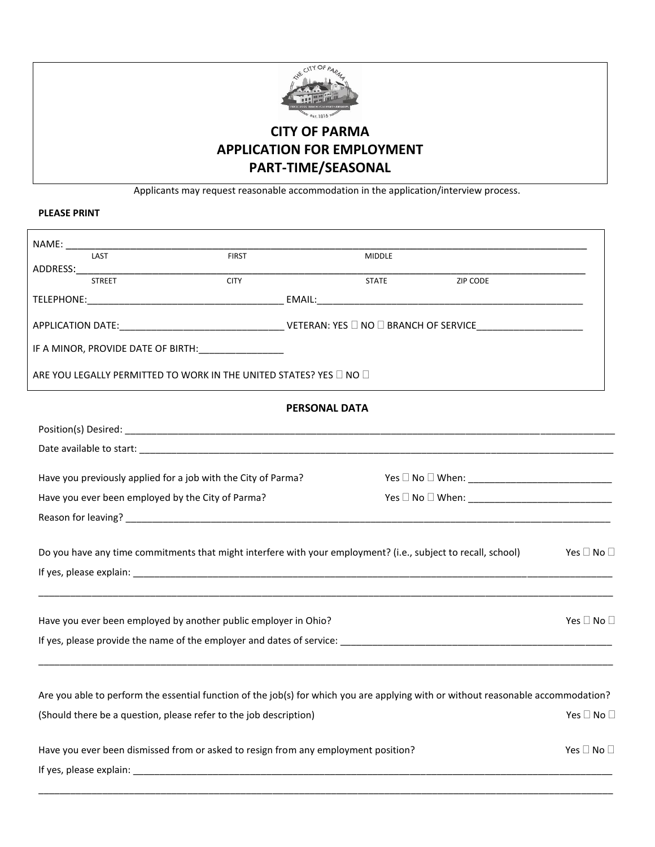

# **CITY OF PARMA APPLICATION FOR EMPLOYMENT PART-TIME/SEASONAL**

Applicants may request reasonable accommodation in the application/interview process.

# **PLEASE PRINT**

| LAST                                              |                                                                                                               | <b>FIRST</b> |                      | <b>MIDDLE</b> |                                                                                                                                   |            |
|---------------------------------------------------|---------------------------------------------------------------------------------------------------------------|--------------|----------------------|---------------|-----------------------------------------------------------------------------------------------------------------------------------|------------|
| ADDRESS:____________<br><b>STREET</b>             |                                                                                                               | <b>CITY</b>  |                      | <b>STATE</b>  | <b>ZIP CODE</b>                                                                                                                   |            |
|                                                   |                                                                                                               |              |                      |               |                                                                                                                                   |            |
|                                                   |                                                                                                               |              |                      |               |                                                                                                                                   |            |
|                                                   | IF A MINOR, PROVIDE DATE OF BIRTH:                                                                            |              |                      |               |                                                                                                                                   |            |
|                                                   | ARE YOU LEGALLY PERMITTED TO WORK IN THE UNITED STATES? YES $\Box$ NO $\Box$                                  |              |                      |               |                                                                                                                                   |            |
|                                                   |                                                                                                               |              | <b>PERSONAL DATA</b> |               |                                                                                                                                   |            |
|                                                   |                                                                                                               |              |                      |               |                                                                                                                                   |            |
|                                                   |                                                                                                               |              |                      |               |                                                                                                                                   |            |
|                                                   | Have you previously applied for a job with the City of Parma?                                                 |              |                      |               |                                                                                                                                   |            |
| Have you ever been employed by the City of Parma? |                                                                                                               |              |                      |               |                                                                                                                                   |            |
|                                                   |                                                                                                               |              |                      |               |                                                                                                                                   |            |
|                                                   | Do you have any time commitments that might interfere with your employment? (i.e., subject to recall, school) |              |                      |               |                                                                                                                                   | Yes □ No □ |
|                                                   |                                                                                                               |              |                      |               |                                                                                                                                   |            |
|                                                   |                                                                                                               |              |                      |               |                                                                                                                                   |            |
|                                                   | Have you ever been employed by another public employer in Ohio?                                               |              |                      |               |                                                                                                                                   | Yes □ No □ |
|                                                   |                                                                                                               |              |                      |               |                                                                                                                                   |            |
|                                                   |                                                                                                               |              |                      |               |                                                                                                                                   |            |
|                                                   |                                                                                                               |              |                      |               | Are you able to perform the essential function of the job(s) for which you are applying with or without reasonable accommodation? |            |
|                                                   | (Should there be a question, please refer to the job description)                                             |              |                      |               |                                                                                                                                   | Yes □ No □ |
|                                                   | Have you ever been dismissed from or asked to resign from any employment position?                            |              |                      |               |                                                                                                                                   | Yes □ No □ |
|                                                   |                                                                                                               |              |                      |               |                                                                                                                                   |            |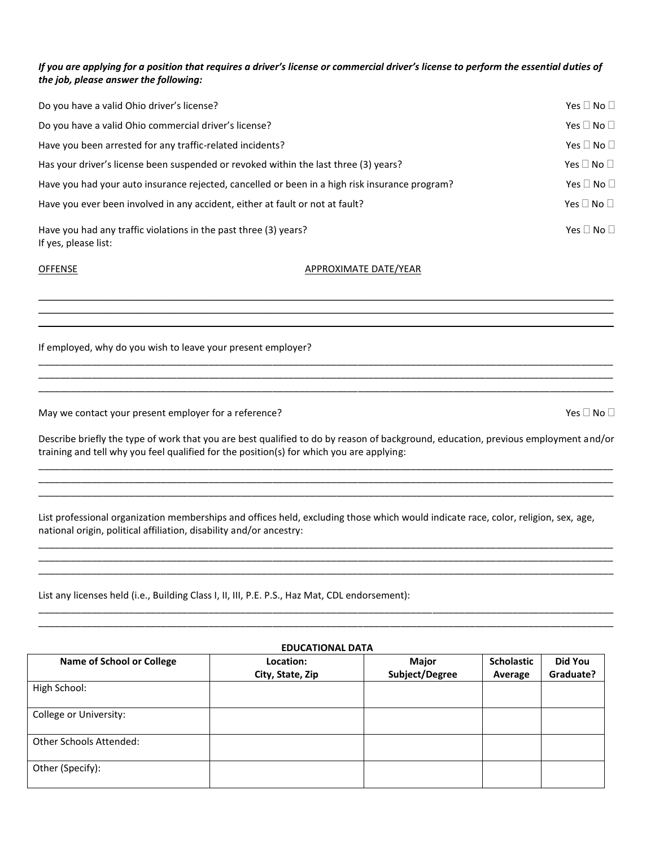### *If you are applying for a position that requires a driver's license or commercial driver's license to perform the essential duties of the job, please answer the following:*

| Do you have a valid Ohio driver's license?                                                     | Yes $\square$ No $\square$ |
|------------------------------------------------------------------------------------------------|----------------------------|
| Do you have a valid Ohio commercial driver's license?                                          | Yes $\Box$ No $\Box$       |
| Have you been arrested for any traffic-related incidents?                                      | Yes $\Box$ No $\Box$       |
| Has your driver's license been suspended or revoked within the last three (3) years?           | Yes $\square$ No $\square$ |
| Have you had your auto insurance rejected, cancelled or been in a high risk insurance program? | Yes $\Box$ No $\Box$       |
| Have you ever been involved in any accident, either at fault or not at fault?                  | Yes $\square$ No $\square$ |
| Have you had any traffic violations in the past three (3) years?<br>If yes, please list:       | Yes $\Box$ No $\Box$       |

\_\_\_\_\_\_\_\_\_\_\_\_\_\_\_\_\_\_\_\_\_\_\_\_\_\_\_\_\_\_\_\_\_\_\_\_\_\_\_\_\_\_\_\_\_\_\_\_\_\_\_\_\_\_\_\_\_\_\_\_\_\_\_\_\_\_\_\_\_\_\_\_\_\_\_\_\_\_\_\_\_\_\_\_\_\_\_\_\_\_\_\_\_\_\_\_\_\_\_\_\_\_\_\_\_\_\_\_  $\mathcal{L}_\mathcal{L} = \{ \mathcal{L}_\mathcal{L} = \{ \mathcal{L}_\mathcal{L} = \{ \mathcal{L}_\mathcal{L} = \{ \mathcal{L}_\mathcal{L} = \{ \mathcal{L}_\mathcal{L} = \{ \mathcal{L}_\mathcal{L} = \{ \mathcal{L}_\mathcal{L} = \{ \mathcal{L}_\mathcal{L} = \{ \mathcal{L}_\mathcal{L} = \{ \mathcal{L}_\mathcal{L} = \{ \mathcal{L}_\mathcal{L} = \{ \mathcal{L}_\mathcal{L} = \{ \mathcal{L}_\mathcal{L} = \{ \mathcal{L}_\mathcal{$ \_\_\_\_\_\_\_\_\_\_\_\_\_\_\_\_\_\_\_\_\_\_\_\_\_\_\_\_\_\_\_\_\_\_\_\_\_\_\_\_\_\_\_\_\_\_\_\_\_\_\_\_\_\_\_\_\_\_\_\_\_\_\_\_\_\_\_\_\_\_\_\_\_\_\_\_\_\_\_\_\_\_\_\_\_\_\_\_\_\_\_\_\_\_\_\_\_\_\_\_\_\_\_\_\_\_\_\_

\_\_\_\_\_\_\_\_\_\_\_\_\_\_\_\_\_\_\_\_\_\_\_\_\_\_\_\_\_\_\_\_\_\_\_\_\_\_\_\_\_\_\_\_\_\_\_\_\_\_\_\_\_\_\_\_\_\_\_\_\_\_\_\_\_\_\_\_\_\_\_\_\_\_\_\_\_\_\_\_\_\_\_\_\_\_\_\_\_\_\_\_\_\_\_\_\_\_\_\_\_\_\_\_\_\_\_\_ \_\_\_\_\_\_\_\_\_\_\_\_\_\_\_\_\_\_\_\_\_\_\_\_\_\_\_\_\_\_\_\_\_\_\_\_\_\_\_\_\_\_\_\_\_\_\_\_\_\_\_\_\_\_\_\_\_\_\_\_\_\_\_\_\_\_\_\_\_\_\_\_\_\_\_\_\_\_\_\_\_\_\_\_\_\_\_\_\_\_\_\_\_\_\_\_\_\_\_\_\_\_\_\_\_\_\_\_

OFFENSE APPROXIMATE DATE/YEAR

If employed, why do you wish to leave your present employer?

May we contact your present employer for a reference?  $\Box$  Yes  $\Box$  No  $\Box$  No  $\Box$  No  $\Box$  No  $\Box$ 

Describe briefly the type of work that you are best qualified to do by reason of background, education, previous employment and/or training and tell why you feel qualified for the position(s) for which you are applying: \_\_\_\_\_\_\_\_\_\_\_\_\_\_\_\_\_\_\_\_\_\_\_\_\_\_\_\_\_\_\_\_\_\_\_\_\_\_\_\_\_\_\_\_\_\_\_\_\_\_\_\_\_\_\_\_\_\_\_\_\_\_\_\_\_\_\_\_\_\_\_\_\_\_\_\_\_\_\_\_\_\_\_\_\_\_\_\_\_\_\_\_\_\_\_\_\_\_\_\_\_\_\_\_\_\_\_\_

\_\_\_\_\_\_\_\_\_\_\_\_\_\_\_\_\_\_\_\_\_\_\_\_\_\_\_\_\_\_\_\_\_\_\_\_\_\_\_\_\_\_\_\_\_\_\_\_\_\_\_\_\_\_\_\_\_\_\_\_\_\_\_\_\_\_\_\_\_\_\_\_\_\_\_\_\_\_\_\_\_\_\_\_\_\_\_\_\_\_\_\_\_\_\_\_\_\_\_\_\_\_\_\_\_\_\_\_ \_\_\_\_\_\_\_\_\_\_\_\_\_\_\_\_\_\_\_\_\_\_\_\_\_\_\_\_\_\_\_\_\_\_\_\_\_\_\_\_\_\_\_\_\_\_\_\_\_\_\_\_\_\_\_\_\_\_\_\_\_\_\_\_\_\_\_\_\_\_\_\_\_\_\_\_\_\_\_\_\_\_\_\_\_\_\_\_\_\_\_\_\_\_\_\_\_\_\_\_\_\_\_\_\_\_\_\_

List professional organization memberships and offices held, excluding those which would indicate race, color, religion, sex, age, national origin, political affiliation, disability and/or ancestry:

\_\_\_\_\_\_\_\_\_\_\_\_\_\_\_\_\_\_\_\_\_\_\_\_\_\_\_\_\_\_\_\_\_\_\_\_\_\_\_\_\_\_\_\_\_\_\_\_\_\_\_\_\_\_\_\_\_\_\_\_\_\_\_\_\_\_\_\_\_\_\_\_\_\_\_\_\_\_\_\_\_\_\_\_\_\_\_\_\_\_\_\_\_\_\_\_\_\_\_\_\_\_\_\_\_\_\_\_ \_\_\_\_\_\_\_\_\_\_\_\_\_\_\_\_\_\_\_\_\_\_\_\_\_\_\_\_\_\_\_\_\_\_\_\_\_\_\_\_\_\_\_\_\_\_\_\_\_\_\_\_\_\_\_\_\_\_\_\_\_\_\_\_\_\_\_\_\_\_\_\_\_\_\_\_\_\_\_\_\_\_\_\_\_\_\_\_\_\_\_\_\_\_\_\_\_\_\_\_\_\_\_\_\_\_\_\_ \_\_\_\_\_\_\_\_\_\_\_\_\_\_\_\_\_\_\_\_\_\_\_\_\_\_\_\_\_\_\_\_\_\_\_\_\_\_\_\_\_\_\_\_\_\_\_\_\_\_\_\_\_\_\_\_\_\_\_\_\_\_\_\_\_\_\_\_\_\_\_\_\_\_\_\_\_\_\_\_\_\_\_\_\_\_\_\_\_\_\_\_\_\_\_\_\_\_\_\_\_\_\_\_\_\_\_\_

List any licenses held (i.e., Building Class I, II, III, P.E. P.S., Haz Mat, CDL endorsement):

 $\mathcal{L}_\text{max}$ 

#### **EDUCATIONAL DATA**

\_\_\_\_\_\_\_\_\_\_\_\_\_\_\_\_\_\_\_\_\_\_\_\_\_\_\_\_\_\_\_\_\_\_\_\_\_\_\_\_\_\_\_\_\_\_\_\_\_\_\_\_\_\_\_\_\_\_\_\_\_\_\_\_\_\_\_\_\_\_\_\_\_\_\_\_\_\_\_\_\_\_\_\_\_\_\_\_\_\_\_\_\_\_\_\_\_\_\_\_\_\_\_\_\_\_\_\_ \_\_\_\_\_\_\_\_\_\_\_\_\_\_\_\_\_\_\_\_\_\_\_\_\_\_\_\_\_\_\_\_\_\_\_\_\_\_\_\_\_\_\_\_\_\_\_\_\_\_\_\_\_\_\_\_\_\_\_\_\_\_\_\_\_\_\_\_\_\_\_\_\_\_\_\_\_\_\_\_\_\_\_\_\_\_\_\_\_\_\_\_\_\_\_\_\_\_\_\_\_\_\_\_\_\_\_\_

| <b>Name of School or College</b> | Location:        | Major          | <b>Scholastic</b> | Did You   |
|----------------------------------|------------------|----------------|-------------------|-----------|
|                                  | City, State, Zip | Subject/Degree | Average           | Graduate? |
| High School:                     |                  |                |                   |           |
| College or University:           |                  |                |                   |           |
| <b>Other Schools Attended:</b>   |                  |                |                   |           |
| Other (Specify):                 |                  |                |                   |           |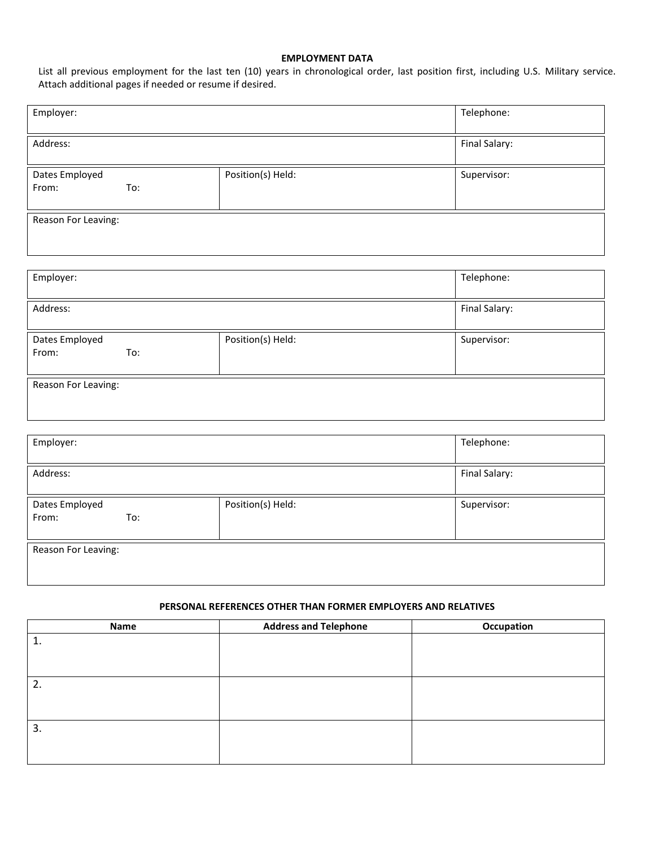# **EMPLOYMENT DATA**

List all previous employment for the last ten (10) years in chronological order, last position first, including U.S. Military service. Attach additional pages if needed or resume if desired.

| Employer:                      |                   | Telephone:    |  |  |  |
|--------------------------------|-------------------|---------------|--|--|--|
| Address:                       |                   | Final Salary: |  |  |  |
| Dates Employed<br>From:<br>To: | Position(s) Held: | Supervisor:   |  |  |  |
| Reason For Leaving:            |                   |               |  |  |  |
| Employer:                      |                   | Telephone:    |  |  |  |
| Address:                       |                   | Final Salary: |  |  |  |
| Dates Employed<br>To:<br>From: | Position(s) Held: | Supervisor:   |  |  |  |
| Reason For Leaving:            |                   |               |  |  |  |
| Employer:                      |                   | Telephone:    |  |  |  |
| Address:                       |                   | Final Salary: |  |  |  |
| Dates Employed<br>To:<br>From: | Position(s) Held: | Supervisor:   |  |  |  |
| Reason For Leaving:            |                   |               |  |  |  |

# **PERSONAL REFERENCES OTHER THAN FORMER EMPLOYERS AND RELATIVES**

| Name | <b>Address and Telephone</b> | Occupation |
|------|------------------------------|------------|
|      |                              |            |
|      |                              |            |
|      |                              |            |
| 2.   |                              |            |
|      |                              |            |
|      |                              |            |
| 3.   |                              |            |
|      |                              |            |
|      |                              |            |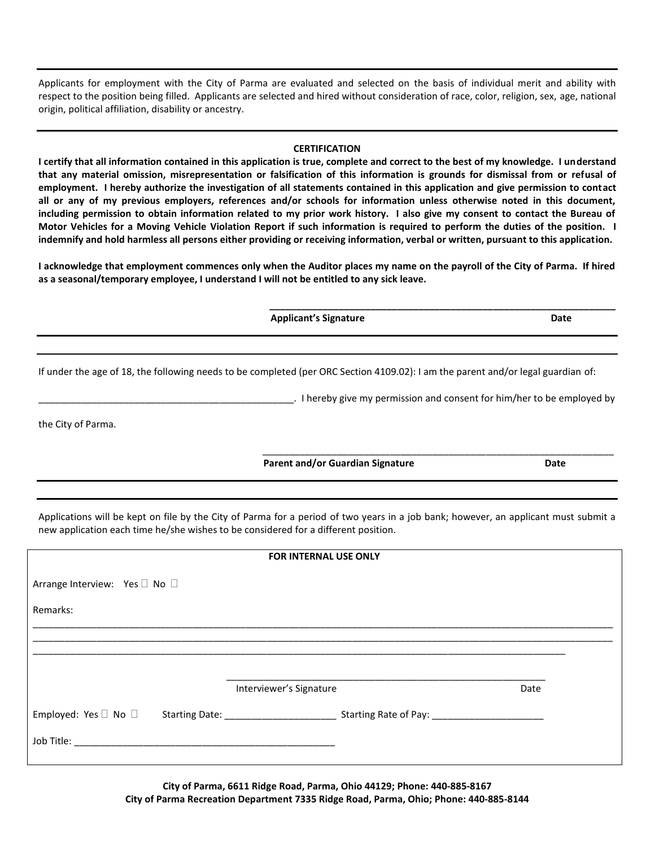Applicants for employment with the City of Parma are evaluated and selected on the basis of individual merit and ability with respect to the position being filled. Applicants are selected and hired without consideration of race, color, religion, sex, age, national origin, political affiliation, disability or ancestry.

#### **CERTIFICATION**

**I certify that all information contained in this application is true, complete and correct to the best of my knowledge. I understand that any material omission, misrepresentation or falsification of this information is grounds for dismissal from or refusal of employment. I hereby authorize the investigation of all statements contained in this application and give permission to contact all or any of my previous employers, references and/or schools for information unless otherwise noted in this document, including permission to obtain information related to my prior work history. I also give my consent to contact the Bureau of Motor Vehicles for a Moving Vehicle Violation Report if such information is required to perform the duties of the position. I indemnify and hold harmless all persons either providing or receiving information, verbal or written, pursuant to this application.**

**I acknowledge that employment commences only when the Auditor places my name on the payroll of the City of Parma. If hired as a seasonal/temporary employee, I understand I will not be entitled to any sick leave.**

**Applicant's Signature Date** 

If under the age of 18, the following needs to be completed (per ORC Section 4109.02): I am the parent and/or legal guardian of:

\_\_\_\_\_\_\_\_\_\_\_\_\_\_\_\_\_\_\_\_\_\_\_\_\_\_\_\_\_\_\_\_\_\_\_\_\_\_\_\_\_\_\_\_\_\_\_\_. I hereby give my permission and consent for him/her to be employed by

\_\_\_\_\_\_\_\_\_\_\_\_\_\_\_\_\_\_\_\_\_\_\_\_\_\_\_\_\_\_\_\_\_\_\_\_\_\_\_\_\_\_\_\_\_\_\_\_\_\_\_\_\_\_\_\_\_\_\_\_\_\_\_\_\_\_

**\_\_\_\_\_\_\_\_\_\_\_\_\_\_\_\_\_\_\_\_\_\_\_\_\_\_\_\_\_\_\_\_\_\_\_\_\_\_\_\_\_\_\_\_\_\_\_\_\_\_\_\_\_\_\_\_\_\_\_\_\_\_\_\_\_**

the City of Parma.

**Parent and/or Guardian Signature Date** Date

Applications will be kept on file by the City of Parma for a period of two years in a job bank; however, an applicant must submit a new application each time he/she wishes to be considered for a different position.

| <b>FOR INTERNAL USE ONLY</b>  |  |                         |  |      |  |
|-------------------------------|--|-------------------------|--|------|--|
| Arrange Interview: Yes □ No □ |  |                         |  |      |  |
| Remarks:                      |  |                         |  |      |  |
|                               |  |                         |  |      |  |
|                               |  |                         |  |      |  |
|                               |  | Interviewer's Signature |  | Date |  |
|                               |  |                         |  |      |  |
|                               |  |                         |  |      |  |
|                               |  |                         |  |      |  |

**City of Parma, 6611 Ridge Road, Parma, Ohio 44129; Phone: 440-885-8167 City of Parma Recreation Department 7335 Ridge Road, Parma, Ohio; Phone: 440-885-8144**